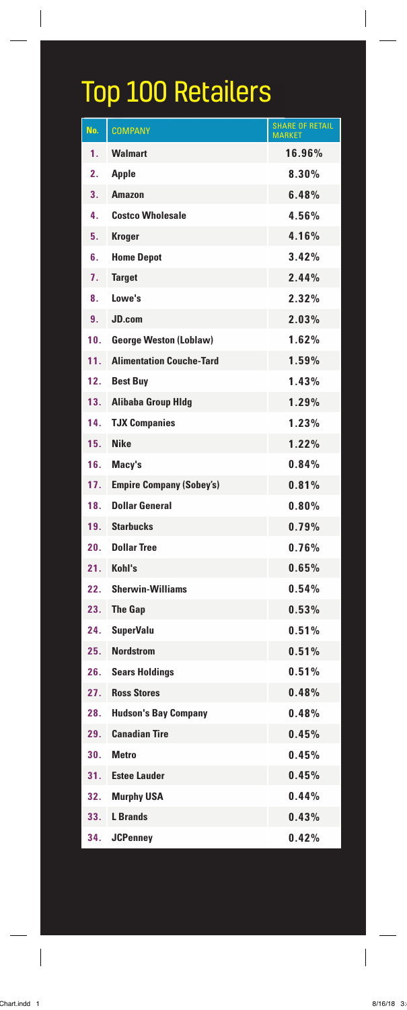## Top 100 Retailers

| No. | <b>COMPANY</b>                  | <b>SHARE OF RETAIL</b><br><b>MARKFT</b> |
|-----|---------------------------------|-----------------------------------------|
| 1.  | <b>Walmart</b>                  | 16.96%                                  |
| 2.  | <b>Apple</b>                    | 8.30%                                   |
| 3.  | <b>Amazon</b>                   | 6.48%                                   |
| 4.  | <b>Costco Wholesale</b>         | 4.56%                                   |
| 5.  | <b>Kroger</b>                   | 4.16%                                   |
| 6.  | <b>Home Depot</b>               | 3.42%                                   |
| 7.  | <b>Target</b>                   | 2.44%                                   |
| 8.  | Lowe's                          | 2.32%                                   |
| 9.  | JD.com                          | 2.03%                                   |
| 10. | <b>George Weston (Loblaw)</b>   | 1.62%                                   |
| 11. | <b>Alimentation Couche-Tard</b> | 1.59%                                   |
| 12. | <b>Best Buy</b>                 | 1.43%                                   |
| 13. | <b>Alibaba Group Hldg</b>       | 1.29%                                   |
| 14. | <b>TJX Companies</b>            | 1.23%                                   |
| 15. | <b>Nike</b>                     | 1.22%                                   |
| 16. | Macy's                          | 0.84%                                   |
| 17. | <b>Empire Company (Sobey's)</b> | 0.81%                                   |
| 18. | <b>Dollar General</b>           | 0.80%                                   |
| 19. | <b>Starbucks</b>                | 0.79%                                   |
| 20. | <b>Dollar Tree</b>              | 0.76%                                   |
| 21. | Kohl's                          | 0.65%                                   |
| 22. | <b>Sherwin-Williams</b>         | 0.54%                                   |
| 23. | <b>The Gap</b>                  | 0.53%                                   |
| 24. | <b>SuperValu</b>                | 0.51%                                   |
| 25. | <b>Nordstrom</b>                | 0.51%                                   |
| 26. | <b>Sears Holdings</b>           | 0.51%                                   |
| 27. | <b>Ross Stores</b>              | 0.48%                                   |
| 28. | <b>Hudson's Bay Company</b>     | 0.48%                                   |
| 29. | <b>Canadian Tire</b>            | 0.45%                                   |
| 30. | <b>Metro</b>                    | 0.45%                                   |
| 31. | <b>Estee Lauder</b>             | 0.45%                                   |
| 32. | <b>Murphy USA</b>               | 0.44%                                   |
| 33. | <b>L</b> Brands                 | 0.43%                                   |
| 34. | <b>JCPenney</b>                 | 0.42%                                   |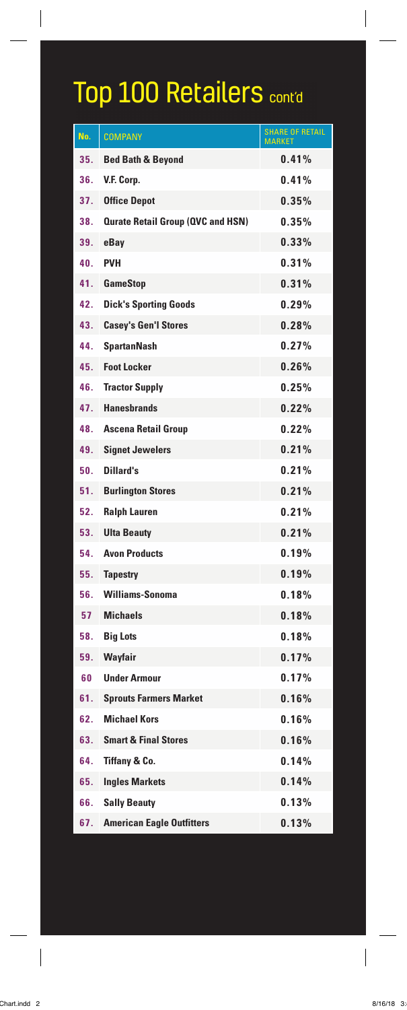## Top 100 Retailers cont'd

| No. | <b>COMPANY</b>                           | <b>SHARE OF RETAIL</b><br><b>MARKE</b> |
|-----|------------------------------------------|----------------------------------------|
| 35. | <b>Bed Bath &amp; Beyond</b>             | 0.41%                                  |
| 36. | V.F. Corp.                               | 0.41%                                  |
| 37. | <b>Office Depot</b>                      | 0.35%                                  |
| 38. | <b>Qurate Retail Group (QVC and HSN)</b> | 0.35%                                  |
| 39. | eBay                                     | 0.33%                                  |
| 40. | <b>PVH</b>                               | 0.31%                                  |
| 41. | <b>GameStop</b>                          | 0.31%                                  |
| 42. | <b>Dick's Sporting Goods</b>             | 0.29%                                  |
| 43. | <b>Casey's Gen'l Stores</b>              | 0.28%                                  |
| 44. | <b>SpartanNash</b>                       | 0.27%                                  |
| 45. | <b>Foot Locker</b>                       | 0.26%                                  |
| 46. | <b>Tractor Supply</b>                    | 0.25%                                  |
| 47. | <b>Hanesbrands</b>                       | 0.22%                                  |
| 48. | <b>Ascena Retail Group</b>               | 0.22%                                  |
| 49. | <b>Signet Jewelers</b>                   | 0.21%                                  |
| 50. | Dillard's                                | 0.21%                                  |
| 51. | <b>Burlington Stores</b>                 | 0.21%                                  |
| 52. | <b>Ralph Lauren</b>                      | 0.21%                                  |
| 53. | <b>Ulta Beauty</b>                       | 0.21%                                  |
| 54. | <b>Avon Products</b>                     | 0.19%                                  |
| 55. | <b>Tapestry</b>                          | 0.19%                                  |
| 56. | Williams-Sonoma                          | 0.18%                                  |
| 57  | <b>Michaels</b>                          | 0.18%                                  |
| 58. | <b>Big Lots</b>                          | 0.18%                                  |
| 59. | Wayfair                                  | 0.17%                                  |
| 60  | <b>Under Armour</b>                      | 0.17%                                  |
| 61. | <b>Sprouts Farmers Market</b>            | 0.16%                                  |
| 62. | <b>Michael Kors</b>                      | 0.16%                                  |
| 63. | <b>Smart &amp; Final Stores</b>          | 0.16%                                  |
| 64. | <b>Tiffany &amp; Co.</b>                 | 0.14%                                  |
| 65. | <b>Ingles Markets</b>                    | 0.14%                                  |
| 66. | <b>Sally Beauty</b>                      | 0.13%                                  |
| 67. | <b>American Eagle Outfitters</b>         | 0.13%                                  |